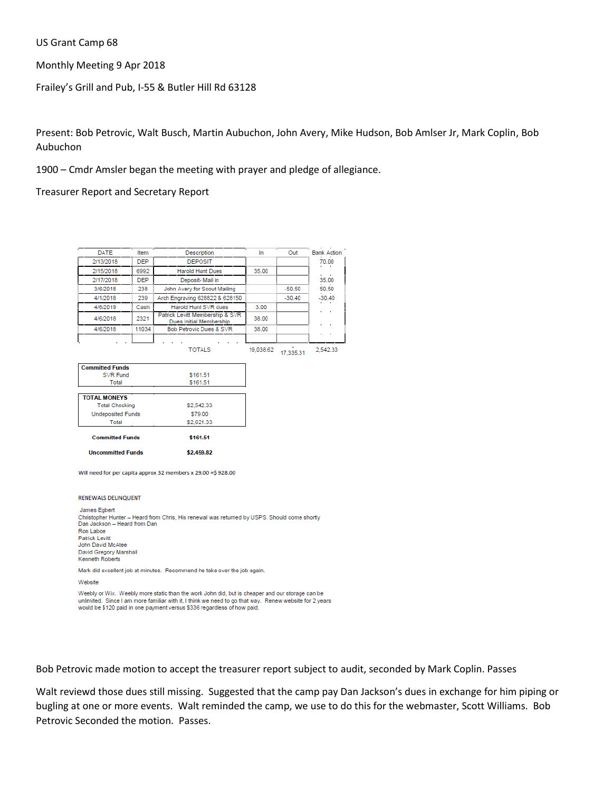US Grant Camp 68

Monthly Meeting 9 Apr 2018

Frailey's Grill and Pub, I-55 & Butler Hill Rd 63128

Present: Bob Petrovic, Walt Busch, Martin Aubuchon, John Avery, Mike Hudson, Bob Amlser Jr, Mark Coplin, Bob Aubuchon

1900 – Cmdr Amsler began the meeting with prayer and pledge of allegiance.

Treasurer Report and Secretary Report

| DATE                               | Item       | Description                                                                                  | In        | Out       | <b>Bank Action</b> |
|------------------------------------|------------|----------------------------------------------------------------------------------------------|-----------|-----------|--------------------|
| 2/13/2018                          | <b>DEP</b> | <b>DEPOSIT</b>                                                                               |           |           | 70.00              |
| 2/15/2018                          | 6992       | <b>Harold Hunt Dues</b>                                                                      | 35.00     |           |                    |
| 2/17/2018                          | <b>DEP</b> | Deposit- Mail in                                                                             |           |           | 35.00              |
| 3/6/2018                           | 238        | John Avery for Scout Mailing                                                                 |           | $-50.50$  | 50.50              |
| 4/1/2018                           | 239        | Arch Engraving 628822 & 628150                                                               |           | $-30.40$  | $-30.40$           |
| 4/6/2019                           | Cash       | Harold Hunt SVR dues                                                                         | 3.00      |           |                    |
| 4/6/2018                           | 2321       | Patrick Levitt Membership & SVR<br>Dues Initial Membership                                   | 38.00     |           |                    |
| 4/6/2018                           | 11034      | Bob Petrovic Dues & SVR                                                                      | 38.00     |           |                    |
|                                    |            | <b>TOTALS</b>                                                                                | 19.038.62 | 17.335.31 | 2.542.33           |
| <b>Committed Funds</b><br>SVR Fund |            | \$161.51                                                                                     |           |           |                    |
| Total                              |            | \$161.51                                                                                     |           |           |                    |
|                                    |            |                                                                                              |           |           |                    |
| <b>TOTAL MONEYS</b>                |            |                                                                                              |           |           |                    |
| <b>Total Checking</b>              |            | \$2,542.33                                                                                   |           |           |                    |
| <b>Undeposited Funds</b>           |            | \$79.00                                                                                      |           |           |                    |
| Total                              |            | \$2,621.33                                                                                   |           |           |                    |
| <b>Committed Funds</b>             |            | \$161.51                                                                                     |           |           |                    |
| <b>Uncommitted Funds</b>           |            | \$2,459.82                                                                                   |           |           |                    |
|                                    |            | Will need for per capita approx 32 members x 29.00 = \$ 928.00                               |           |           |                    |
| <b>RENEWALS DELINQUENT</b>         |            |                                                                                              |           |           |                    |
| James Egbert                       |            |                                                                                              |           |           |                    |
| Dan Jackson - Heard from Dan       |            | Christopher Hunter - Heard from Chris, His renewal was returned by USPS. Should come shortly |           |           |                    |
| Ron Laboe                          |            |                                                                                              |           |           |                    |
| <b>Patrick Levitt</b>              |            |                                                                                              |           |           |                    |
| John David McAtee                  |            |                                                                                              |           |           |                    |
| David Gregory Marshall             |            |                                                                                              |           |           |                    |
| Kenneth Roberts                    |            |                                                                                              |           |           |                    |

Mark did excellent job at minutes. Recommend he take over the job again.

Website

Weebly or Wix. Weebly more static than the work John did, but is cheaper and our storage can be unlimited. Since I am more familiar with it, I think we need to go that way. Renew website for 2 years would be \$120 paid in one payment versus \$336 regardless of how paid.

Bob Petrovic made motion to accept the treasurer report subject to audit, seconded by Mark Coplin. Passes

Walt reviewd those dues still missing. Suggested that the camp pay Dan Jackson's dues in exchange for him piping or bugling at one or more events. Walt reminded the camp, we use to do this for the webmaster, Scott Williams. Bob Petrovic Seconded the motion. Passes.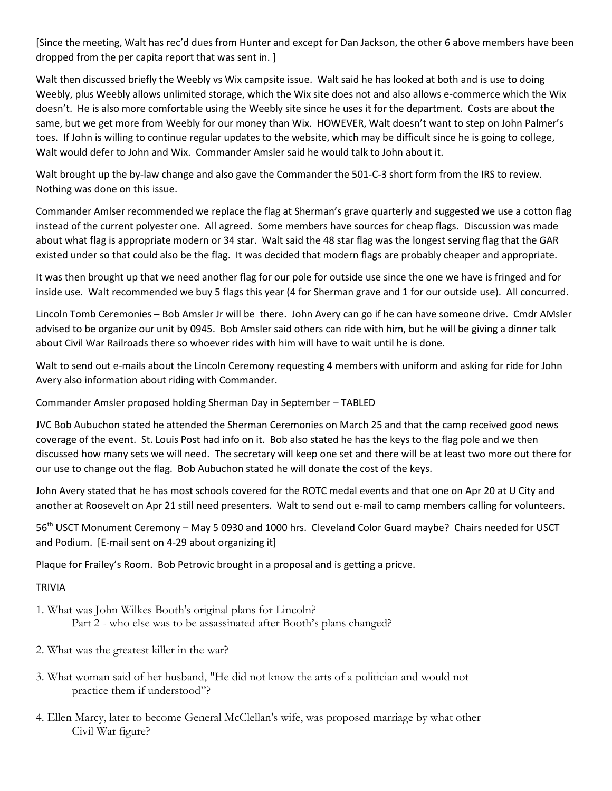[Since the meeting, Walt has rec'd dues from Hunter and except for Dan Jackson, the other 6 above members have been dropped from the per capita report that was sent in. ]

Walt then discussed briefly the Weebly vs Wix campsite issue. Walt said he has looked at both and is use to doing Weebly, plus Weebly allows unlimited storage, which the Wix site does not and also allows e-commerce which the Wix doesn't. He is also more comfortable using the Weebly site since he uses it for the department. Costs are about the same, but we get more from Weebly for our money than Wix. HOWEVER, Walt doesn't want to step on John Palmer's toes. If John is willing to continue regular updates to the website, which may be difficult since he is going to college, Walt would defer to John and Wix. Commander Amsler said he would talk to John about it.

Walt brought up the by-law change and also gave the Commander the 501-C-3 short form from the IRS to review. Nothing was done on this issue.

Commander Amlser recommended we replace the flag at Sherman's grave quarterly and suggested we use a cotton flag instead of the current polyester one. All agreed. Some members have sources for cheap flags. Discussion was made about what flag is appropriate modern or 34 star. Walt said the 48 star flag was the longest serving flag that the GAR existed under so that could also be the flag. It was decided that modern flags are probably cheaper and appropriate.

It was then brought up that we need another flag for our pole for outside use since the one we have is fringed and for inside use. Walt recommended we buy 5 flags this year (4 for Sherman grave and 1 for our outside use). All concurred.

Lincoln Tomb Ceremonies – Bob Amsler Jr will be there. John Avery can go if he can have someone drive. Cmdr AMsler advised to be organize our unit by 0945. Bob Amsler said others can ride with him, but he will be giving a dinner talk about Civil War Railroads there so whoever rides with him will have to wait until he is done.

Walt to send out e-mails about the Lincoln Ceremony requesting 4 members with uniform and asking for ride for John Avery also information about riding with Commander.

Commander Amsler proposed holding Sherman Day in September – TABLED

JVC Bob Aubuchon stated he attended the Sherman Ceremonies on March 25 and that the camp received good news coverage of the event. St. Louis Post had info on it. Bob also stated he has the keys to the flag pole and we then discussed how many sets we will need. The secretary will keep one set and there will be at least two more out there for our use to change out the flag. Bob Aubuchon stated he will donate the cost of the keys.

John Avery stated that he has most schools covered for the ROTC medal events and that one on Apr 20 at U City and another at Roosevelt on Apr 21 still need presenters. Walt to send out e-mail to camp members calling for volunteers.

56th USCT Monument Ceremony – May 5 0930 and 1000 hrs. Cleveland Color Guard maybe? Chairs needed for USCT and Podium. [E-mail sent on 4-29 about organizing it]

Plaque for Frailey's Room. Bob Petrovic brought in a proposal and is getting a pricve.

## TRIVIA

- 1. What was John Wilkes Booth's original plans for Lincoln? Part 2 - who else was to be assassinated after Booth's plans changed?
- 2. What was the greatest killer in the war?
- 3. What woman said of her husband, "He did not know the arts of a politician and would not practice them if understood"?
- 4. Ellen Marcy, later to become General McClellan's wife, was proposed marriage by what other Civil War figure?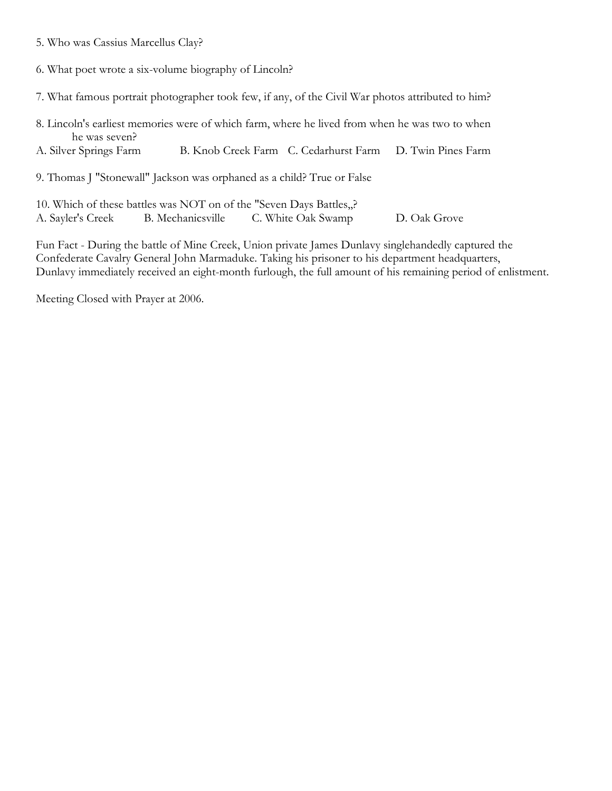- 5. Who was Cassius Marcellus Clay?
- 6. What poet wrote a six-volume biography of Lincoln?
- 7. What famous portrait photographer took few, if any, of the Civil War photos attributed to him?
- 8. Lincoln's earliest memories were of which farm, where he lived from when he was two to when he was seven?
- A. Silver Springs Farm B. Knob Creek Farm C. Cedarhurst Farm D. Twin Pines Farm
- 9. Thomas J "Stonewall" Jackson was orphaned as a child? True or False
- 10. Which of these battles was NOT on of the "Seven Days Battles,,? A. Sayler's Creek B. Mechanicsville C. White Oak Swamp D. Oak Grove

Fun Fact - During the battle of Mine Creek, Union private James Dunlavy singlehandedly captured the Confederate Cavalry General John Marmaduke. Taking his prisoner to his department headquarters, Dunlavy immediately received an eight-month furlough, the full amount of his remaining period of enlistment.

Meeting Closed with Prayer at 2006.